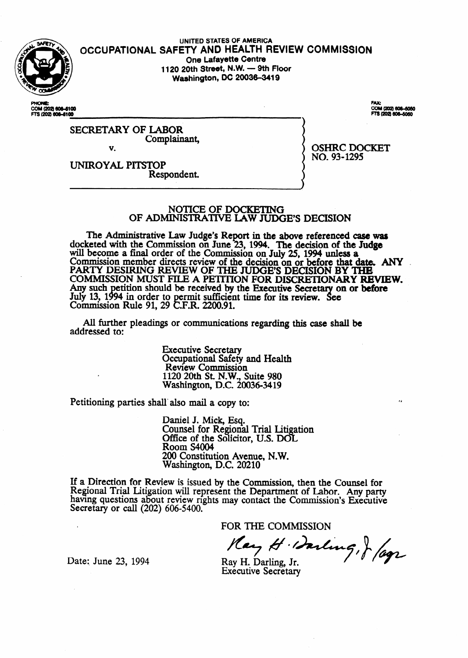

#### UNITED STATES OF AMERICA **SHE, OCCUPATIONAL SAFETY AND HEALTH REVIEW COMMISSION One Lafayette Centre 1120 20th** Stteet, N.\N. - **9th Floor Washington, DC 20036-3419**

COM (2021-808-8100) FTS (202) 606-6100

COM (202) 606-6060 TS (202) 606-5060

OSHRC DOCKET

NO. 93-1295

SECRETARY OF LABOR Complainant. v.

UNIROYAL PITSTOP Respondent.

## NOTICE OF DOCKETING OF ADMINISTRATIVE LAW JUDGE'S DECISION

The Administrative Law Judge's Report in the above referenced case wu docketed with the Commission on June 23, 1994. The decision of the Judge will become a final order of the Commission on July 25, 1994 unless a Commission member directs review of the decision on or before that date. ANY PARTY DESIRING REVIEW OF THE JUDGE'S DECISION BY THE COMMISSION MUST FILE A PETITION FOR DISCRETIONARY REVIEW. Any such petition should be received by the Executive Secretary on or before July 13, 1994 in order to permit sufficient time for its review. See Commission Rule 91, 29 C.F.R. 2200.91.

All further pleadings or communications regarding this case shall be addressed to:

> **Executive Secretary**  Occupational Safety and Health Review Commission 1120 20th St. N.W., Suite 980 Washington, D.C. 20036-3419

Petitioning parties shall also mail a copy to:

Daniel J. Mick, Esq. Counsel for Regional Trial Litigation Office of the Solicitor, U.S. DOL Room S4004 200 Constitution Avenue, N.W. **Washington,** D.C. 20210

If a Direction for Review is issued by the Commission, then the Counsel for Regional Trial Litigation will represent the Department of Labor. Any party having questions about review nghts may contact the Commission's Executive Secretary or call (202) 606-5400.

FOR THE COMMISSION<br>Hay H. Darling, J. /1992

Date: June 23, 1994

n

Ray H. Darling, Jr. **Executive Secretary**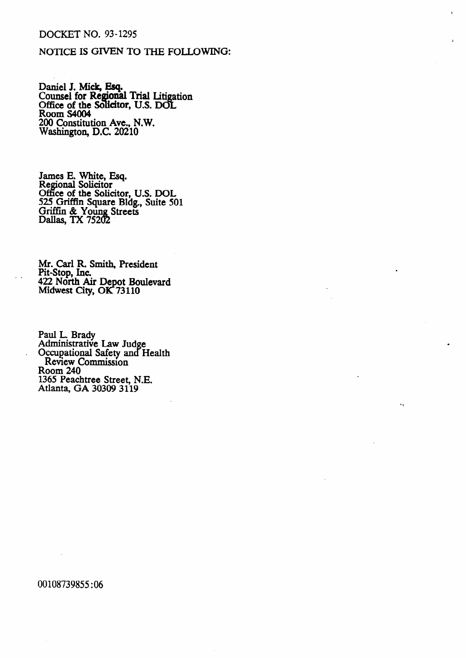## **DOCKET NO. 93-1295**

# NOTICE IS GIVEN TO THE FOLLOWING:

Daniel J. Mick, Esq.<br>Counsel for Regional Trial Litigation<br>Office of the Solicitor, U.S. DOL<br>Room S4004<br>200 Constitution Ave., N.W.<br>Washington, D.C. 20210

James E. White, Esq.<br>Regional Solicitor Office of the Solicitor, U.S. DOL<br>525 Griffin Square Bldg., Suite 501<br>Griffin & Young Streets<br>Dallas, TX 75202

Mr. Carl R. Smith, President<br>Pit-Stop, Inc. 422 North Air Depot Boulevard<br>Midwest City, OK 73110

Paul L. Brady<br>Administrative Law Judge<br>Occupational Safety and Health Review Commission **Room 240** 1365 Peachtree Street, N.E. Atlanta, GA 30309 3119

00108739855:06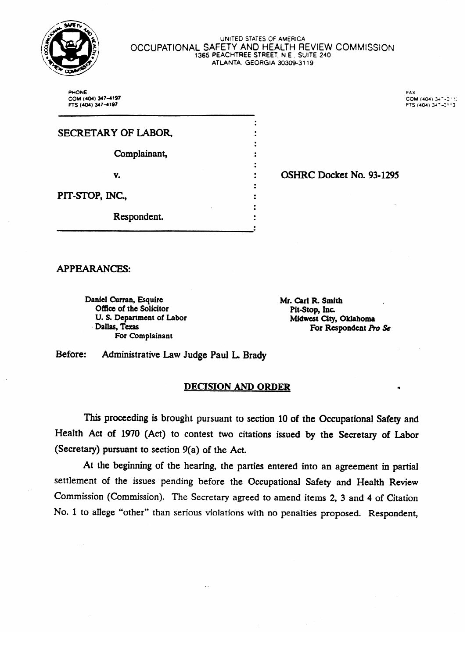

#### UNITED STATES OF AMERICA OCCUPATIONAL SAFETY AND HEALTH REVIEW COMMISSION **1365 PEACHTREE STREET. NE , SUITE 240**  ATLANTA. **GEORGiA 30309-3119**

 $\ddot{\cdot}$  $\ddot{\cdot}$  $\ddot{\cdot}$  $\ddot{\cdot}$  $\ddot{\cdot}$  $\ddot{\cdot}$ 

 $\ddot{\cdot}$ 

 $\frac{1}{2}$ 

PHONE. FAX **FAX FTS (404) 347-4197 COM (404) 347-4197 COM (404) 347-4197** 

| SECRETARY OF LABOR, |  |
|---------------------|--|
| Complainant,        |  |
| V.                  |  |
| PIT-STOP, INC.,     |  |
| Respondent.         |  |

OSHRC Docket No. 934295

**APPEARANCES:** 

Daniel Curran, Esquire Office of the Solicitor U. S. Department of Labor<br>Dallas, Texas  $\nu$ anas, 15.43<br>Eos Compleirent  $\overline{\phantom{a}}$   $\overline{\phantom{a}}$ 

Respondent.

Mr. Carl R. Smith *Mr.* **Stop,** *Inc.*<br> **Midwest City, City** Printed City For Respondent Pro Se

Before: Administrative Law Judge Paul L. Brady

#### **DECISION AND ORDER**

This proceeding is brought pursuant to section 10 of the Occupational Safety and Health Act of 1970 (Act) to contest two citations issued by the Secretary of Labor (Secretary) pursuant to section  $9(a)$  of the Act.

At the beginning of the hearing, the parties entered into an agreement in partial settlement of the issues pending before the Occupational Safety and Health Review Commission (Commission). The Secretary agreed to amend items 2, 3 and 4 of Citation No. 1 to allege "other" than serious violations with no penalties proposed. Respondent,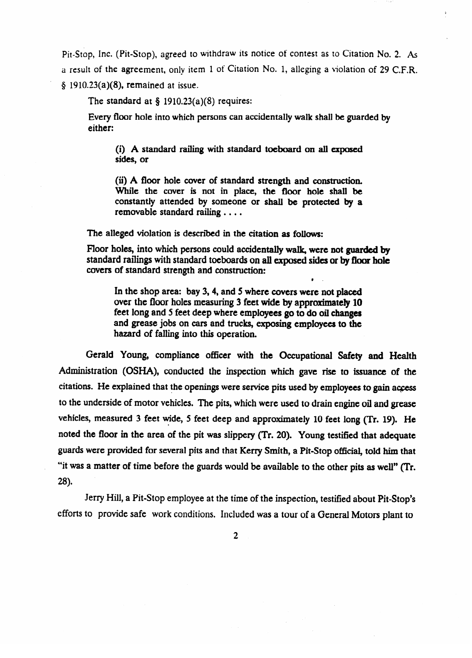Pit-Stop, Inc. (Pit-Stop), agreed to withdraw its notice of contest as to Citation No. 2. As a result of the agreement, only item 1 **of** Citation No. 1, alleging a violation of 29 C.F.R.  $§$  1910.23(a)(8), remained at issue.

The standard at  $\S$  1910.23(a)(8) requires:

Every floor hole into which persons can accidentally walk shall be guarded by either:

(i) A standard railing with standard toeboard on all exposed sides, or

(ii) A floor hole cover of standard strength and construction.<br>While the cover is not in place, the floor hole shall be while the cover is not in place, the hoor hole shall be a constantly attended by someone **or** shall **be protected by a**  removable standard railing  $\dots$ .

The alleged violation is described in the citation as follows:

Floor holes, into which persons could accidentally walk, **were not guarded by**  standard railings with standard toeboards on all exposed **sides or by floor hole**  covers of standard strength and construction:

In the shop area: bay 3, 4, and 5 where covers were not placed over the floor holes measuring 3 feet wide by approximately 10 feet long and 5 feet deep where employees go to do oil changes and grease jobs on cars and trucks, exposing employees to the and grease jobs on cars and instally exposing employees to the hazard of falling into this operation.

Gerald Young, compliance officer with the Occupational safety **and** Health citations. He explained that the openings were service pits used by employees to gain access citations. He explores that the explore that the opening of the understand to drain angine oil and grappe vehicles, measured 3 feet wide, 5 feet deep and approximately 10 feet long (Tr. 19). He vehicles, measured 3 feet wide, 5 feet deep and approximately 10 feet long (Tr. 19). He . guards were provided for several pits and that Kerry Smith, a Pit-Stop official, told him that "it was a matter of time before the guards would be available to the other pits as well" (Tr.  $. 100$ 

Jerry Hill, a Pit-Stop employee at the time of the inspection, testified about Pit-Stop's efforts to provide safe work conditions. Included was a tour of a General Motors plant to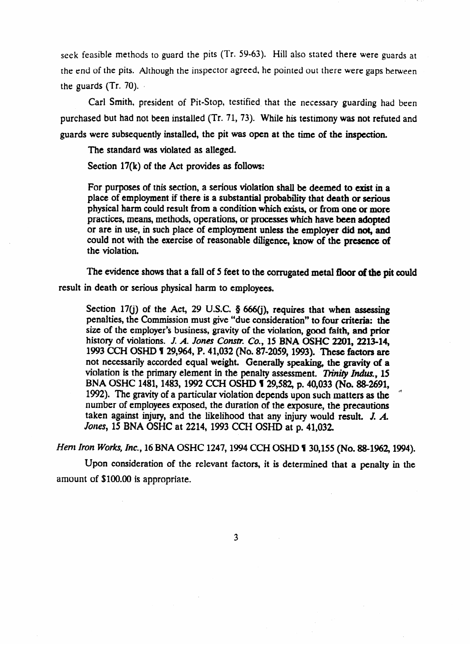seek feasible methods to guard the pits (Tr. 59-63). Hill also stated there were guards at the end of the pits. Although the inspector agreed, he pointed out there were gaps between the guards  $(Tr. 70)$ .

Carl Smith, president of Pit-Stop, testified. that the necessary guarding had been purchased but had not been installed (Tr. 71, 73). While his testimony was not refuted and guards were subsequently installed, the pit was open at the time of the inspection.

The standard was violated as alleged.

Section 17(k) of the Act provides as follows:

For purposes of this section, a serious violation shall be deemed to exist in a place of employment if there is a substantial probability that death or serious physical harm could result from a condition which exists, or from one or more practices, means, methods, operations, or processes which have been adopted or are in use, in such place of employment unless the employer did not and or are in use, in such place of employment unless the **employer did not, and**  could not with the exercise of reasonable diligence, know of the **presence of**  the violation.

The evidence shows that a fall of **5** feet to the **corrugated metal floor of the pit** could result in death or serious physical harm to employees.

Section 17(j) of the Act, 29 U.S.C. § 666(j), requires that when assessing penalties, the Commission must give "due consideration" to four criteria: the size of the employer's business, gravity of the violation, good faith, and prior history of violations. J. A. Jones Constr. Co., 15 BNA OSHC 2201, 2213-14, 1993 CCH OSHD **1** 29,964, P. 41,032 (No. 87-2059, 1993). These factors are not necessarily accorded equal weight. Generally speaking, the gravity of a violation is the primary element in the penalty assessment. Trinity Indus., 15 BNA OSHC 1481, 1483, 1992 CCH OSHD 1 29,582, p. 40,033 (No. 88-2691, 1992). The gravity of a particular violation depends upon such matters as the number of employees exposed, the duration of the exposure, the precautions taken against injury, and the likelihood that any injury would result. J.  $A$ . Jones, 15 BNA OSHC at 2214, 1993 CCH OSHD at p. 41,032. *Jones, 15* BNA OSHC at 2214, 1993 CCH OSHD at p. 41,032

*Hem Iron Works, Inc.*, 16 BNA OSHC 1247, 1994 CCH OSHD **1** 30,155 (No. 88-1962, 1994).<br>Upon consideration of the relevant factors, it is determined that a penalty in the

amount of \$100.00 is appropriate.

 $3<sup>1</sup>$